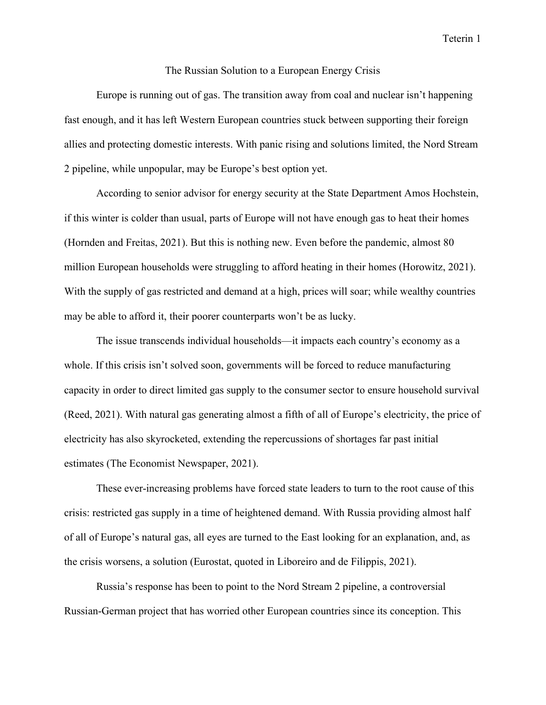Teterin 1

## The Russian Solution to a European Energy Crisis

 Europe is running out of gas. The transition away from coal and nuclear isn't happening fast enough, and it has left Western European countries stuck between supporting their foreign allies and protecting domestic interests. With panic rising and solutions limited, the Nord Stream 2 pipeline, while unpopular, may be Europe's best option yet.

According to senior advisor for energy security at the State Department Amos Hochstein, if this winter is colder than usual, parts of Europe will not have enough gas to heat their homes (Hornden and Freitas, 2021). But this is nothing new. Even before the pandemic, almost 80 million European households were struggling to afford heating in their homes (Horowitz, 2021). With the supply of gas restricted and demand at a high, prices will soar; while wealthy countries may be able to afford it, their poorer counterparts won't be as lucky.

The issue transcends individual households—it impacts each country's economy as a whole. If this crisis isn't solved soon, governments will be forced to reduce manufacturing capacity in order to direct limited gas supply to the consumer sector to ensure household survival (Reed, 2021). With natural gas generating almost a fifth of all of Europe's electricity, the price of electricity has also skyrocketed, extending the repercussions of shortages far past initial estimates (The Economist Newspaper, 2021).

These ever-increasing problems have forced state leaders to turn to the root cause of this crisis: restricted gas supply in a time of heightened demand. With Russia providing almost half of all of Europe's natural gas, all eyes are turned to the East looking for an explanation, and, as the crisis worsens, a solution (Eurostat, quoted in Liboreiro and de Filippis, 2021).

 Russia's response has been to point to the Nord Stream 2 pipeline, a controversial Russian-German project that has worried other European countries since its conception. This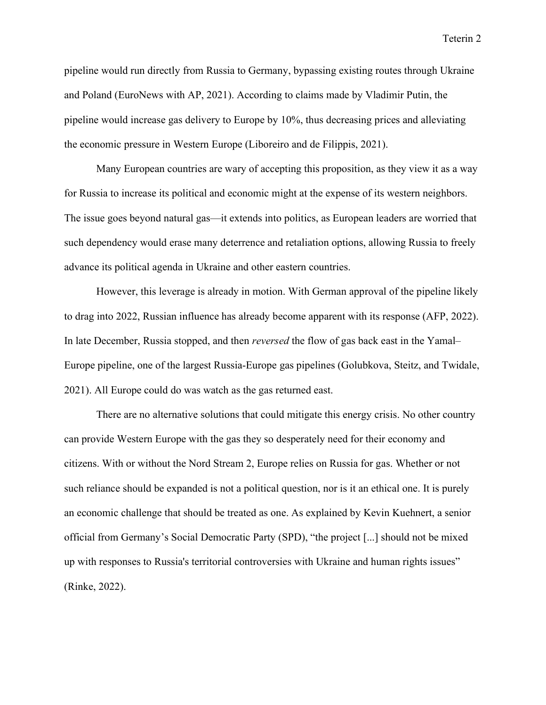pipeline would run directly from Russia to Germany, bypassing existing routes through Ukraine and Poland (EuroNews with AP, 2021). According to claims made by Vladimir Putin, the pipeline would increase gas delivery to Europe by 10%, thus decreasing prices and alleviating the economic pressure in Western Europe (Liboreiro and de Filippis, 2021).

 Many European countries are wary of accepting this proposition, as they view it as a way for Russia to increase its political and economic might at the expense of its western neighbors. The issue goes beyond natural gas—it extends into politics, as European leaders are worried that such dependency would erase many deterrence and retaliation options, allowing Russia to freely advance its political agenda in Ukraine and other eastern countries.

 However, this leverage is already in motion. With German approval of the pipeline likely to drag into 2022, Russian influence has already become apparent with its response (AFP, 2022). In late December, Russia stopped, and then reversed the flow of gas back east in the Yamal– Europe pipeline, one of the largest Russia-Europe gas pipelines (Golubkova, Steitz, and Twidale, 2021). All Europe could do was watch as the gas returned east.

There are no alternative solutions that could mitigate this energy crisis. No other country can provide Western Europe with the gas they so desperately need for their economy and citizens. With or without the Nord Stream 2, Europe relies on Russia for gas. Whether or not such reliance should be expanded is not a political question, nor is it an ethical one. It is purely an economic challenge that should be treated as one. As explained by Kevin Kuehnert, a senior official from Germany's Social Democratic Party (SPD), "the project [...] should not be mixed up with responses to Russia's territorial controversies with Ukraine and human rights issues" (Rinke, 2022).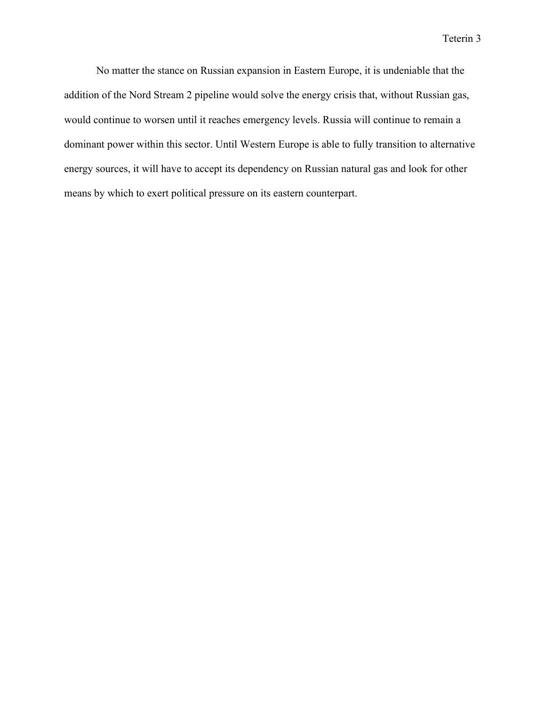Teterin 3

No matter the stance on Russian expansion in Eastern Europe, it is undeniable that the addition of the Nord Stream 2 pipeline would solve the energy crisis that, without Russian gas, would continue to worsen until it reaches emergency levels. Russia will continue to remain a dominant power within this sector. Until Western Europe is able to fully transition to alternative energy sources, it will have to accept its dependency on Russian natural gas and look for other means by which to exert political pressure on its eastern counterpart.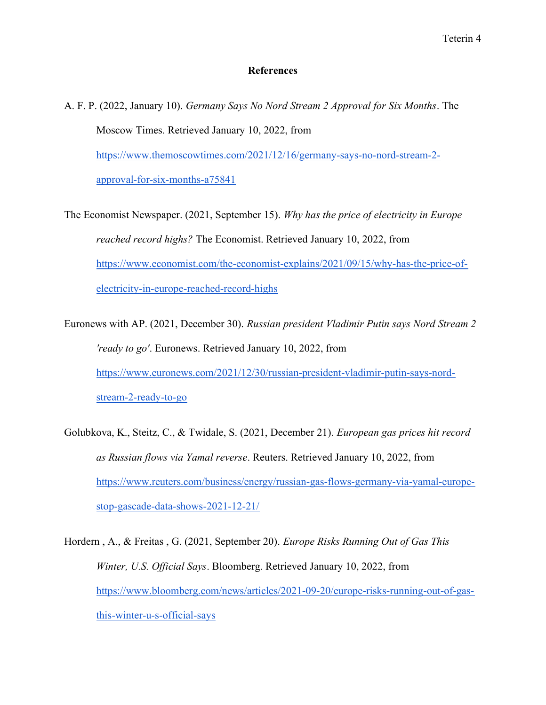## **References**

- A. F. P. (2022, January 10). Germany Says No Nord Stream 2 Approval for Six Months. The Moscow Times. Retrieved January 10, 2022, from https://www.themoscowtimes.com/2021/12/16/germany-says-no-nord-stream-2 approval-for-six-months-a75841
- The Economist Newspaper. (2021, September 15). Why has the price of electricity in Europe reached record highs? The Economist. Retrieved January 10, 2022, from https://www.economist.com/the-economist-explains/2021/09/15/why-has-the-price-ofelectricity-in-europe-reached-record-highs
- Euronews with AP. (2021, December 30). Russian president Vladimir Putin says Nord Stream 2 'ready to go'. Euronews. Retrieved January 10, 2022, from https://www.euronews.com/2021/12/30/russian-president-vladimir-putin-says-nordstream-2-ready-to-go
- Golubkova, K., Steitz, C., & Twidale, S. (2021, December 21). European gas prices hit record as Russian flows via Yamal reverse. Reuters. Retrieved January 10, 2022, from https://www.reuters.com/business/energy/russian-gas-flows-germany-via-yamal-europestop-gascade-data-shows-2021-12-21/
- Hordern , A., & Freitas , G. (2021, September 20). Europe Risks Running Out of Gas This Winter, U.S. Official Says. Bloomberg. Retrieved January 10, 2022, from https://www.bloomberg.com/news/articles/2021-09-20/europe-risks-running-out-of-gasthis-winter-u-s-official-says